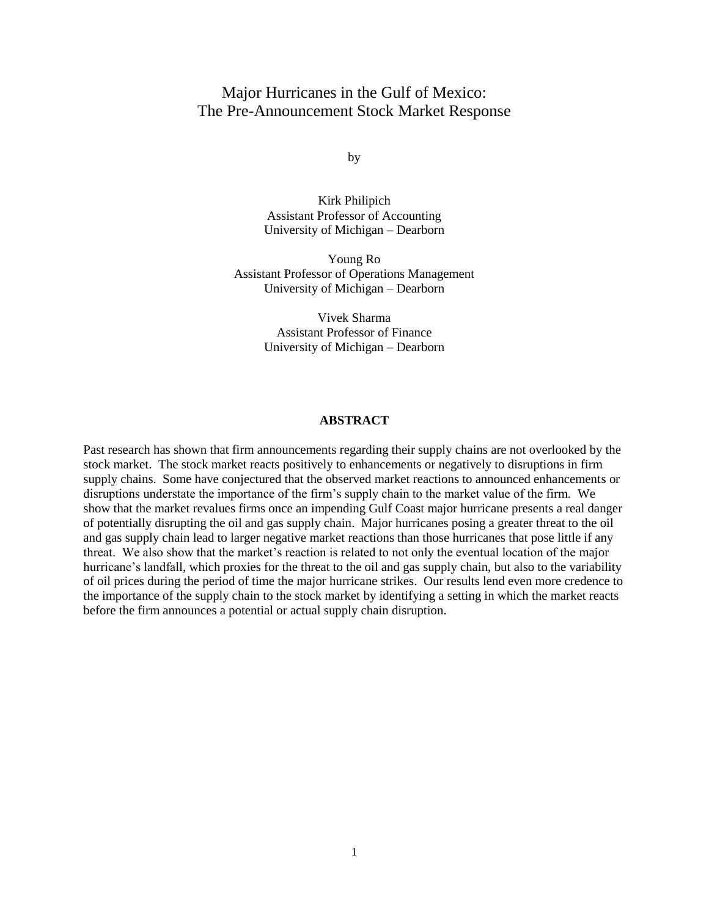# Major Hurricanes in the Gulf of Mexico: The Pre-Announcement Stock Market Response

by

Kirk Philipich Assistant Professor of Accounting University of Michigan – Dearborn

Young Ro Assistant Professor of Operations Management University of Michigan – Dearborn

> Vivek Sharma Assistant Professor of Finance University of Michigan – Dearborn

## **ABSTRACT**

Past research has shown that firm announcements regarding their supply chains are not overlooked by the stock market. The stock market reacts positively to enhancements or negatively to disruptions in firm supply chains. Some have conjectured that the observed market reactions to announced enhancements or disruptions understate the importance of the firm"s supply chain to the market value of the firm. We show that the market revalues firms once an impending Gulf Coast major hurricane presents a real danger of potentially disrupting the oil and gas supply chain. Major hurricanes posing a greater threat to the oil and gas supply chain lead to larger negative market reactions than those hurricanes that pose little if any threat. We also show that the market"s reaction is related to not only the eventual location of the major hurricane's landfall, which proxies for the threat to the oil and gas supply chain, but also to the variability of oil prices during the period of time the major hurricane strikes. Our results lend even more credence to the importance of the supply chain to the stock market by identifying a setting in which the market reacts before the firm announces a potential or actual supply chain disruption.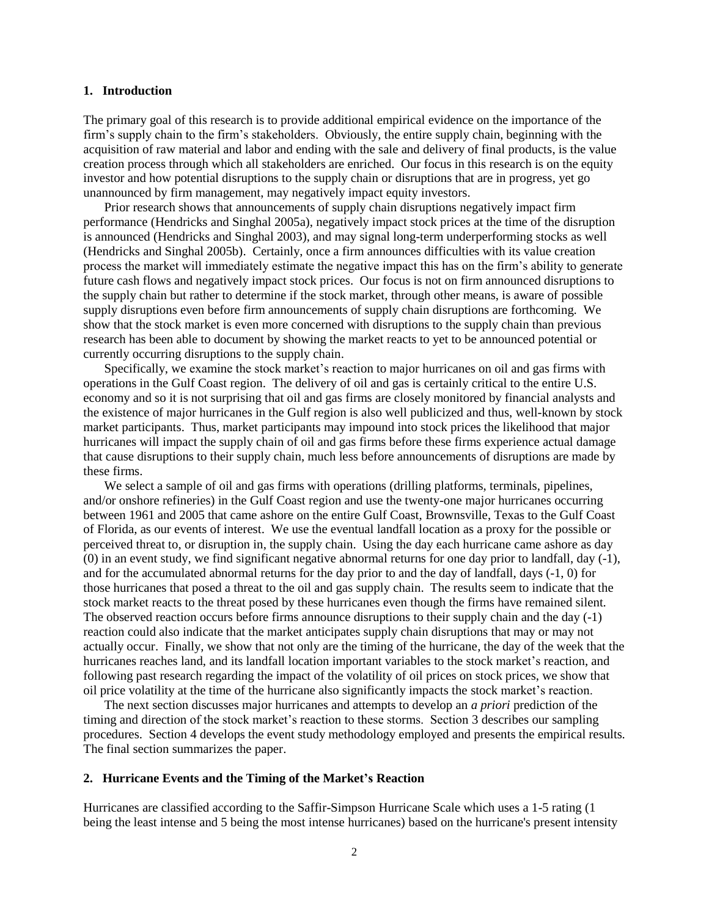### **1. Introduction**

The primary goal of this research is to provide additional empirical evidence on the importance of the firm"s supply chain to the firm"s stakeholders. Obviously, the entire supply chain, beginning with the acquisition of raw material and labor and ending with the sale and delivery of final products, is the value creation process through which all stakeholders are enriched. Our focus in this research is on the equity investor and how potential disruptions to the supply chain or disruptions that are in progress, yet go unannounced by firm management, may negatively impact equity investors.

Prior research shows that announcements of supply chain disruptions negatively impact firm performance (Hendricks and Singhal 2005a), negatively impact stock prices at the time of the disruption is announced (Hendricks and Singhal 2003), and may signal long-term underperforming stocks as well (Hendricks and Singhal 2005b). Certainly, once a firm announces difficulties with its value creation process the market will immediately estimate the negative impact this has on the firm"s ability to generate future cash flows and negatively impact stock prices. Our focus is not on firm announced disruptions to the supply chain but rather to determine if the stock market, through other means, is aware of possible supply disruptions even before firm announcements of supply chain disruptions are forthcoming. We show that the stock market is even more concerned with disruptions to the supply chain than previous research has been able to document by showing the market reacts to yet to be announced potential or currently occurring disruptions to the supply chain.

Specifically, we examine the stock market's reaction to major hurricanes on oil and gas firms with operations in the Gulf Coast region. The delivery of oil and gas is certainly critical to the entire U.S. economy and so it is not surprising that oil and gas firms are closely monitored by financial analysts and the existence of major hurricanes in the Gulf region is also well publicized and thus, well-known by stock market participants. Thus, market participants may impound into stock prices the likelihood that major hurricanes will impact the supply chain of oil and gas firms before these firms experience actual damage that cause disruptions to their supply chain, much less before announcements of disruptions are made by these firms.

We select a sample of oil and gas firms with operations (drilling platforms, terminals, pipelines, and/or onshore refineries) in the Gulf Coast region and use the twenty-one major hurricanes occurring between 1961 and 2005 that came ashore on the entire Gulf Coast, Brownsville, Texas to the Gulf Coast of Florida, as our events of interest. We use the eventual landfall location as a proxy for the possible or perceived threat to, or disruption in, the supply chain. Using the day each hurricane came ashore as day (0) in an event study, we find significant negative abnormal returns for one day prior to landfall, day (-1), and for the accumulated abnormal returns for the day prior to and the day of landfall, days (-1, 0) for those hurricanes that posed a threat to the oil and gas supply chain. The results seem to indicate that the stock market reacts to the threat posed by these hurricanes even though the firms have remained silent. The observed reaction occurs before firms announce disruptions to their supply chain and the day (-1) reaction could also indicate that the market anticipates supply chain disruptions that may or may not actually occur. Finally, we show that not only are the timing of the hurricane, the day of the week that the hurricanes reaches land, and its landfall location important variables to the stock market's reaction, and following past research regarding the impact of the volatility of oil prices on stock prices, we show that oil price volatility at the time of the hurricane also significantly impacts the stock market"s reaction.

The next section discusses major hurricanes and attempts to develop an *a priori* prediction of the timing and direction of the stock market"s reaction to these storms. Section 3 describes our sampling procedures. Section 4 develops the event study methodology employed and presents the empirical results. The final section summarizes the paper.

## **2. Hurricane Events and the Timing of the Market's Reaction**

Hurricanes are classified according to the Saffir-Simpson Hurricane Scale which uses a 1-5 rating (1 being the least intense and 5 being the most intense hurricanes) based on the hurricane's present intensity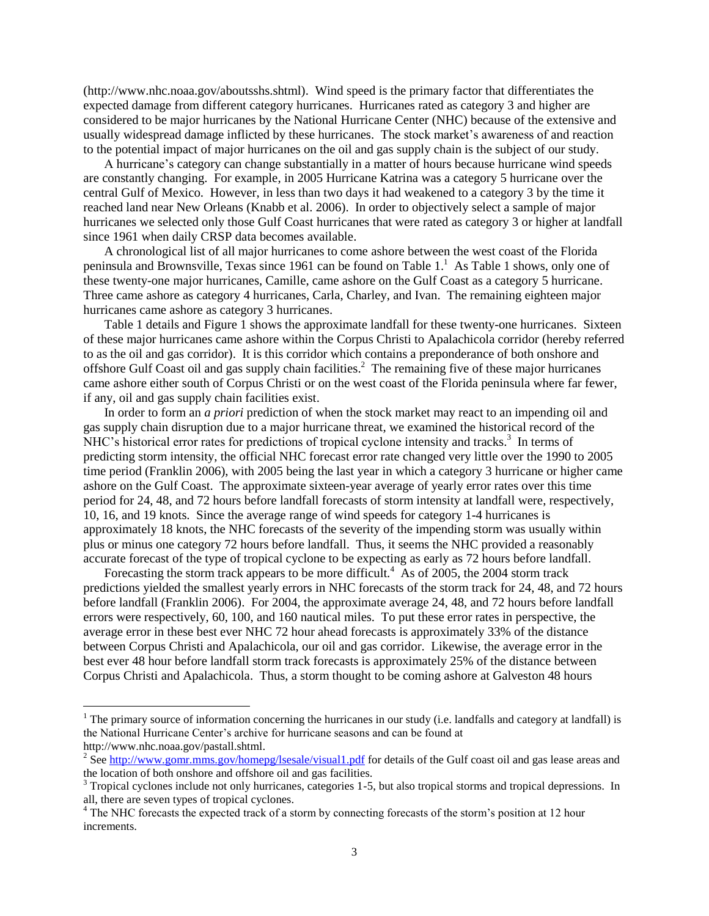(http://www.nhc.noaa.gov/aboutsshs.shtml). Wind speed is the primary factor that differentiates the expected damage from different category hurricanes. Hurricanes rated as category 3 and higher are considered to be major hurricanes by the National Hurricane Center (NHC) because of the extensive and usually widespread damage inflicted by these hurricanes. The stock market's awareness of and reaction to the potential impact of major hurricanes on the oil and gas supply chain is the subject of our study.

A hurricane"s category can change substantially in a matter of hours because hurricane wind speeds are constantly changing. For example, in 2005 Hurricane Katrina was a category 5 hurricane over the central Gulf of Mexico. However, in less than two days it had weakened to a category 3 by the time it reached land near New Orleans (Knabb et al. 2006). In order to objectively select a sample of major hurricanes we selected only those Gulf Coast hurricanes that were rated as category 3 or higher at landfall since 1961 when daily CRSP data becomes available.

A chronological list of all major hurricanes to come ashore between the west coast of the Florida peninsula and Brownsville, Texas since 1961 can be found on Table 1.<sup>1</sup> As Table 1 shows, only one of these twenty-one major hurricanes, Camille, came ashore on the Gulf Coast as a category 5 hurricane. Three came ashore as category 4 hurricanes, Carla, Charley, and Ivan. The remaining eighteen major hurricanes came ashore as category 3 hurricanes.

Table 1 details and Figure 1 shows the approximate landfall for these twenty-one hurricanes. Sixteen of these major hurricanes came ashore within the Corpus Christi to Apalachicola corridor (hereby referred to as the oil and gas corridor). It is this corridor which contains a preponderance of both onshore and offshore Gulf Coast oil and gas supply chain facilities.<sup>2</sup> The remaining five of these major hurricanes came ashore either south of Corpus Christi or on the west coast of the Florida peninsula where far fewer, if any, oil and gas supply chain facilities exist.

In order to form an *a priori* prediction of when the stock market may react to an impending oil and gas supply chain disruption due to a major hurricane threat, we examined the historical record of the NHC's historical error rates for predictions of tropical cyclone intensity and tracks.<sup>3</sup> In terms of predicting storm intensity, the official NHC forecast error rate changed very little over the 1990 to 2005 time period (Franklin 2006), with 2005 being the last year in which a category 3 hurricane or higher came ashore on the Gulf Coast. The approximate sixteen-year average of yearly error rates over this time period for 24, 48, and 72 hours before landfall forecasts of storm intensity at landfall were, respectively, 10, 16, and 19 knots. Since the average range of wind speeds for category 1-4 hurricanes is approximately 18 knots, the NHC forecasts of the severity of the impending storm was usually within plus or minus one category 72 hours before landfall. Thus, it seems the NHC provided a reasonably accurate forecast of the type of tropical cyclone to be expecting as early as 72 hours before landfall.

Forecasting the storm track appears to be more difficult.<sup>4</sup> As of 2005, the 2004 storm track predictions yielded the smallest yearly errors in NHC forecasts of the storm track for 24, 48, and 72 hours before landfall (Franklin 2006). For 2004, the approximate average 24, 48, and 72 hours before landfall errors were respectively, 60, 100, and 160 nautical miles. To put these error rates in perspective, the average error in these best ever NHC 72 hour ahead forecasts is approximately 33% of the distance between Corpus Christi and Apalachicola, our oil and gas corridor. Likewise, the average error in the best ever 48 hour before landfall storm track forecasts is approximately 25% of the distance between Corpus Christi and Apalachicola. Thus, a storm thought to be coming ashore at Galveston 48 hours

 $\overline{a}$ 

 $1$  The primary source of information concerning the hurricanes in our study (i.e. landfalls and category at landfall) is the National Hurricane Center"s archive for hurricane seasons and can be found at http://www.nhc.noaa.gov/pastall.shtml.

<sup>&</sup>lt;sup>2</sup> Se[e http://www.gomr.mms.gov/homepg/lsesale/visual1.pdf](http://www.gomr.mms.gov/homepg/lsesale/visual1.pdf) for details of the Gulf coast oil and gas lease areas and the location of both onshore and offshore oil and gas facilities.

<sup>&</sup>lt;sup>3</sup> Tropical cyclones include not only hurricanes, categories 1-5, but also tropical storms and tropical depressions. In all, there are seven types of tropical cyclones.

<sup>&</sup>lt;sup>4</sup> The NHC forecasts the expected track of a storm by connecting forecasts of the storm's position at 12 hour increments.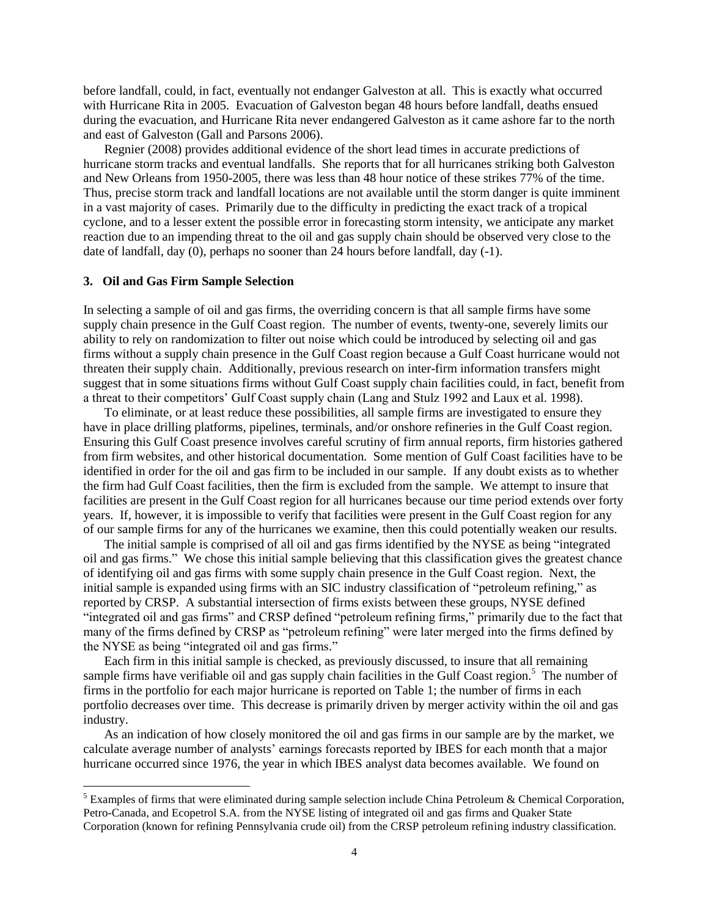before landfall, could, in fact, eventually not endanger Galveston at all. This is exactly what occurred with Hurricane Rita in 2005. Evacuation of Galveston began 48 hours before landfall, deaths ensued during the evacuation, and Hurricane Rita never endangered Galveston as it came ashore far to the north and east of Galveston (Gall and Parsons 2006).

Regnier (2008) provides additional evidence of the short lead times in accurate predictions of hurricane storm tracks and eventual landfalls. She reports that for all hurricanes striking both Galveston and New Orleans from 1950-2005, there was less than 48 hour notice of these strikes 77% of the time. Thus, precise storm track and landfall locations are not available until the storm danger is quite imminent in a vast majority of cases. Primarily due to the difficulty in predicting the exact track of a tropical cyclone, and to a lesser extent the possible error in forecasting storm intensity, we anticipate any market reaction due to an impending threat to the oil and gas supply chain should be observed very close to the date of landfall, day (0), perhaps no sooner than 24 hours before landfall, day (-1).

### **3. Oil and Gas Firm Sample Selection**

 $\overline{a}$ 

In selecting a sample of oil and gas firms, the overriding concern is that all sample firms have some supply chain presence in the Gulf Coast region. The number of events, twenty-one, severely limits our ability to rely on randomization to filter out noise which could be introduced by selecting oil and gas firms without a supply chain presence in the Gulf Coast region because a Gulf Coast hurricane would not threaten their supply chain. Additionally, previous research on inter-firm information transfers might suggest that in some situations firms without Gulf Coast supply chain facilities could, in fact, benefit from a threat to their competitors" Gulf Coast supply chain (Lang and Stulz 1992 and Laux et al. 1998).

To eliminate, or at least reduce these possibilities, all sample firms are investigated to ensure they have in place drilling platforms, pipelines, terminals, and/or onshore refineries in the Gulf Coast region. Ensuring this Gulf Coast presence involves careful scrutiny of firm annual reports, firm histories gathered from firm websites, and other historical documentation. Some mention of Gulf Coast facilities have to be identified in order for the oil and gas firm to be included in our sample. If any doubt exists as to whether the firm had Gulf Coast facilities, then the firm is excluded from the sample. We attempt to insure that facilities are present in the Gulf Coast region for all hurricanes because our time period extends over forty years. If, however, it is impossible to verify that facilities were present in the Gulf Coast region for any of our sample firms for any of the hurricanes we examine, then this could potentially weaken our results.

The initial sample is comprised of all oil and gas firms identified by the NYSE as being "integrated oil and gas firms." We chose this initial sample believing that this classification gives the greatest chance of identifying oil and gas firms with some supply chain presence in the Gulf Coast region. Next, the initial sample is expanded using firms with an SIC industry classification of "petroleum refining," as reported by CRSP. A substantial intersection of firms exists between these groups, NYSE defined "integrated oil and gas firms" and CRSP defined "petroleum refining firms," primarily due to the fact that many of the firms defined by CRSP as "petroleum refining" were later merged into the firms defined by the NYSE as being "integrated oil and gas firms."

Each firm in this initial sample is checked, as previously discussed, to insure that all remaining sample firms have verifiable oil and gas supply chain facilities in the Gulf Coast region.<sup>5</sup> The number of firms in the portfolio for each major hurricane is reported on Table 1; the number of firms in each portfolio decreases over time. This decrease is primarily driven by merger activity within the oil and gas industry.

As an indication of how closely monitored the oil and gas firms in our sample are by the market, we calculate average number of analysts" earnings forecasts reported by IBES for each month that a major hurricane occurred since 1976, the year in which IBES analyst data becomes available. We found on

<sup>&</sup>lt;sup>5</sup> Examples of firms that were eliminated during sample selection include China Petroleum & Chemical Corporation, Petro-Canada, and Ecopetrol S.A. from the NYSE listing of integrated oil and gas firms and Quaker State Corporation (known for refining Pennsylvania crude oil) from the CRSP petroleum refining industry classification.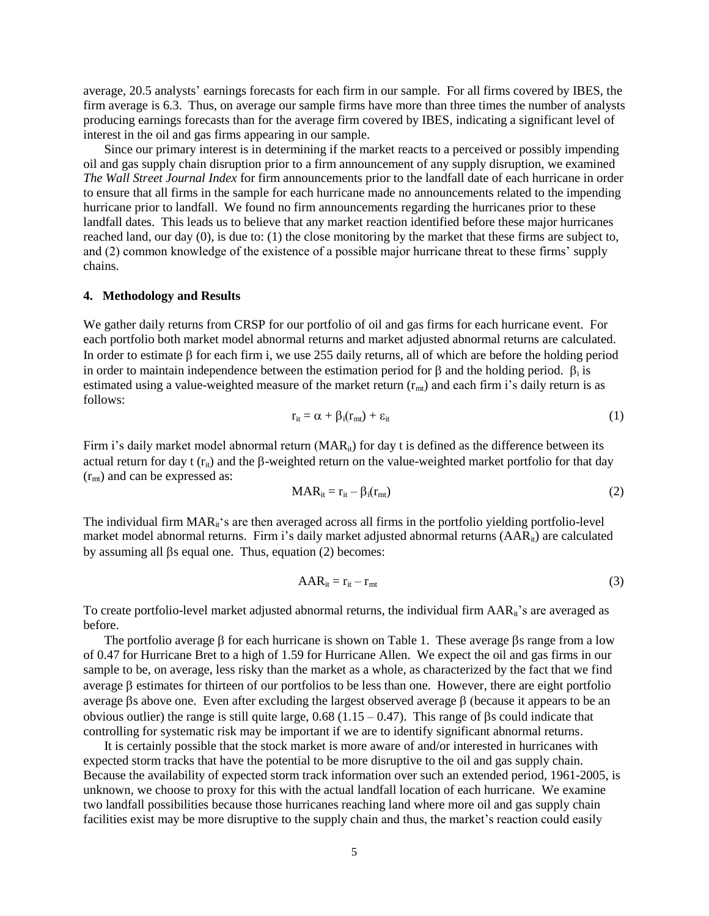average, 20.5 analysts" earnings forecasts for each firm in our sample. For all firms covered by IBES, the firm average is 6.3. Thus, on average our sample firms have more than three times the number of analysts producing earnings forecasts than for the average firm covered by IBES, indicating a significant level of interest in the oil and gas firms appearing in our sample.

Since our primary interest is in determining if the market reacts to a perceived or possibly impending oil and gas supply chain disruption prior to a firm announcement of any supply disruption, we examined *The Wall Street Journal Index* for firm announcements prior to the landfall date of each hurricane in order to ensure that all firms in the sample for each hurricane made no announcements related to the impending hurricane prior to landfall. We found no firm announcements regarding the hurricanes prior to these landfall dates. This leads us to believe that any market reaction identified before these major hurricanes reached land, our day (0), is due to: (1) the close monitoring by the market that these firms are subject to, and (2) common knowledge of the existence of a possible major hurricane threat to these firms' supply chains.

## **4. Methodology and Results**

We gather daily returns from CRSP for our portfolio of oil and gas firms for each hurricane event. For each portfolio both market model abnormal returns and market adjusted abnormal returns are calculated. In order to estimate  $\beta$  for each firm i, we use 255 daily returns, all of which are before the holding period in order to maintain independence between the estimation period for  $\beta$  and the holding period.  $\beta_i$  is estimated using a value-weighted measure of the market return  $(r_{mt})$  and each firm i's daily return is as follows:

$$
r_{it} = \alpha + \beta_i(r_{mt}) + \varepsilon_{it} \tag{1}
$$

Firm i's daily market model abnormal return  $(MAR_{it})$  for day t is defined as the difference between its actual return for day t  $(r_{ii})$  and the  $\beta$ -weighted return on the value-weighted market portfolio for that day  $(r<sub>mt</sub>)$  and can be expressed as:

$$
MAR_{it} = r_{it} - \beta_i(r_{mt})
$$
 (2)

The individual firm  $\text{MAR}_{\text{it}}$ 's are then averaged across all firms in the portfolio yielding portfolio-level market model abnormal returns. Firm i's daily market adjusted abnormal returns (AAR<sub>it</sub>) are calculated by assuming all  $\beta s$  equal one. Thus, equation (2) becomes:

$$
AAR_{it} = r_{it} - r_{mt} \tag{3}
$$

To create portfolio-level market adjusted abnormal returns, the individual firm AAR<sub>it</sub>'s are averaged as before.

The portfolio average  $\beta$  for each hurricane is shown on Table 1. These average  $\beta s$  range from a low of 0.47 for Hurricane Bret to a high of 1.59 for Hurricane Allen. We expect the oil and gas firms in our sample to be, on average, less risky than the market as a whole, as characterized by the fact that we find average  $\beta$  estimates for thirteen of our portfolios to be less than one. However, there are eight portfolio average  $\beta$ s above one. Even after excluding the largest observed average  $\beta$  (because it appears to be an obvious outlier) the range is still quite large,  $0.68$  (1.15 – 0.47). This range of  $\beta$ s could indicate that controlling for systematic risk may be important if we are to identify significant abnormal returns.

It is certainly possible that the stock market is more aware of and/or interested in hurricanes with expected storm tracks that have the potential to be more disruptive to the oil and gas supply chain. Because the availability of expected storm track information over such an extended period, 1961-2005, is unknown, we choose to proxy for this with the actual landfall location of each hurricane. We examine two landfall possibilities because those hurricanes reaching land where more oil and gas supply chain facilities exist may be more disruptive to the supply chain and thus, the market's reaction could easily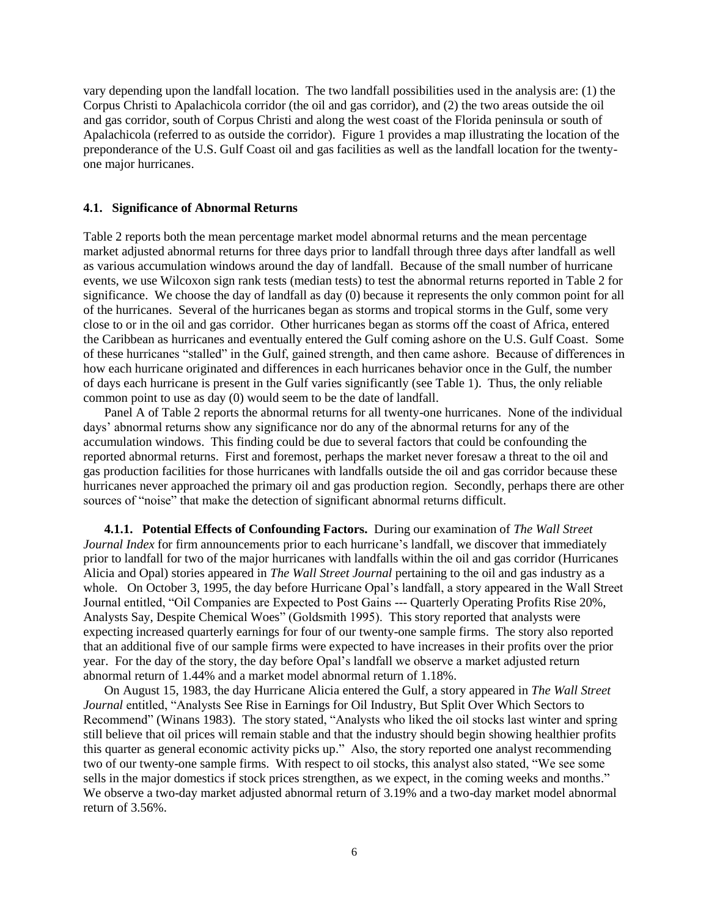vary depending upon the landfall location. The two landfall possibilities used in the analysis are: (1) the Corpus Christi to Apalachicola corridor (the oil and gas corridor), and (2) the two areas outside the oil and gas corridor, south of Corpus Christi and along the west coast of the Florida peninsula or south of Apalachicola (referred to as outside the corridor). Figure 1 provides a map illustrating the location of the preponderance of the U.S. Gulf Coast oil and gas facilities as well as the landfall location for the twentyone major hurricanes.

### **4.1. Significance of Abnormal Returns**

Table 2 reports both the mean percentage market model abnormal returns and the mean percentage market adjusted abnormal returns for three days prior to landfall through three days after landfall as well as various accumulation windows around the day of landfall. Because of the small number of hurricane events, we use Wilcoxon sign rank tests (median tests) to test the abnormal returns reported in Table 2 for significance. We choose the day of landfall as day (0) because it represents the only common point for all of the hurricanes. Several of the hurricanes began as storms and tropical storms in the Gulf, some very close to or in the oil and gas corridor. Other hurricanes began as storms off the coast of Africa, entered the Caribbean as hurricanes and eventually entered the Gulf coming ashore on the U.S. Gulf Coast. Some of these hurricanes "stalled" in the Gulf, gained strength, and then came ashore. Because of differences in how each hurricane originated and differences in each hurricanes behavior once in the Gulf, the number of days each hurricane is present in the Gulf varies significantly (see Table 1). Thus, the only reliable common point to use as day (0) would seem to be the date of landfall.

Panel A of Table 2 reports the abnormal returns for all twenty-one hurricanes. None of the individual days" abnormal returns show any significance nor do any of the abnormal returns for any of the accumulation windows. This finding could be due to several factors that could be confounding the reported abnormal returns. First and foremost, perhaps the market never foresaw a threat to the oil and gas production facilities for those hurricanes with landfalls outside the oil and gas corridor because these hurricanes never approached the primary oil and gas production region. Secondly, perhaps there are other sources of "noise" that make the detection of significant abnormal returns difficult.

**4.1.1. Potential Effects of Confounding Factors.** During our examination of *The Wall Street Journal Index* for firm announcements prior to each hurricane"s landfall, we discover that immediately prior to landfall for two of the major hurricanes with landfalls within the oil and gas corridor (Hurricanes Alicia and Opal) stories appeared in *The Wall Street Journal* pertaining to the oil and gas industry as a whole. On October 3, 1995, the day before Hurricane Opal's landfall, a story appeared in the Wall Street Journal entitled, "Oil Companies are Expected to Post Gains --- Quarterly Operating Profits Rise 20%, Analysts Say, Despite Chemical Woes" (Goldsmith 1995). This story reported that analysts were expecting increased quarterly earnings for four of our twenty-one sample firms. The story also reported that an additional five of our sample firms were expected to have increases in their profits over the prior year. For the day of the story, the day before Opal"s landfall we observe a market adjusted return abnormal return of 1.44% and a market model abnormal return of 1.18%.

On August 15, 1983, the day Hurricane Alicia entered the Gulf, a story appeared in *The Wall Street Journal* entitled, "Analysts See Rise in Earnings for Oil Industry, But Split Over Which Sectors to Recommend" (Winans 1983). The story stated, "Analysts who liked the oil stocks last winter and spring still believe that oil prices will remain stable and that the industry should begin showing healthier profits this quarter as general economic activity picks up." Also, the story reported one analyst recommending two of our twenty-one sample firms. With respect to oil stocks, this analyst also stated, "We see some sells in the major domestics if stock prices strengthen, as we expect, in the coming weeks and months." We observe a two-day market adjusted abnormal return of 3.19% and a two-day market model abnormal return of 3.56%.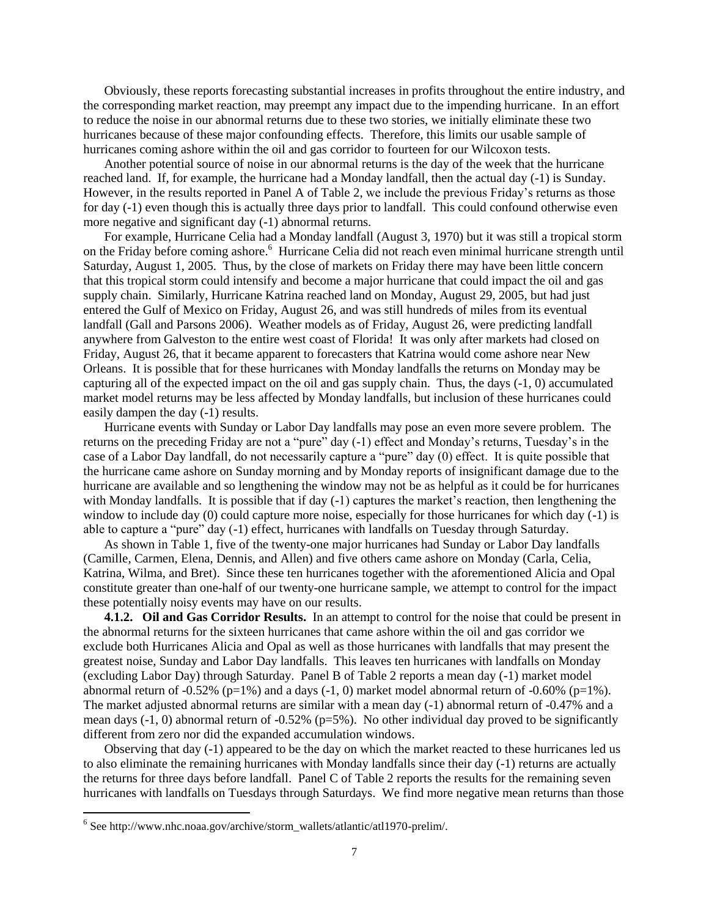Obviously, these reports forecasting substantial increases in profits throughout the entire industry, and the corresponding market reaction, may preempt any impact due to the impending hurricane. In an effort to reduce the noise in our abnormal returns due to these two stories, we initially eliminate these two hurricanes because of these major confounding effects. Therefore, this limits our usable sample of hurricanes coming ashore within the oil and gas corridor to fourteen for our Wilcoxon tests.

Another potential source of noise in our abnormal returns is the day of the week that the hurricane reached land. If, for example, the hurricane had a Monday landfall, then the actual day (-1) is Sunday. However, in the results reported in Panel A of Table 2, we include the previous Friday"s returns as those for day (-1) even though this is actually three days prior to landfall. This could confound otherwise even more negative and significant day (-1) abnormal returns.

For example, Hurricane Celia had a Monday landfall (August 3, 1970) but it was still a tropical storm on the Friday before coming ashore.<sup>6</sup> Hurricane Celia did not reach even minimal hurricane strength until Saturday, August 1, 2005. Thus, by the close of markets on Friday there may have been little concern that this tropical storm could intensify and become a major hurricane that could impact the oil and gas supply chain. Similarly, Hurricane Katrina reached land on Monday, August 29, 2005, but had just entered the Gulf of Mexico on Friday, August 26, and was still hundreds of miles from its eventual landfall (Gall and Parsons 2006). Weather models as of Friday, August 26, were predicting landfall anywhere from Galveston to the entire west coast of Florida! It was only after markets had closed on Friday, August 26, that it became apparent to forecasters that Katrina would come ashore near New Orleans. It is possible that for these hurricanes with Monday landfalls the returns on Monday may be capturing all of the expected impact on the oil and gas supply chain. Thus, the days (-1, 0) accumulated market model returns may be less affected by Monday landfalls, but inclusion of these hurricanes could easily dampen the day (-1) results.

Hurricane events with Sunday or Labor Day landfalls may pose an even more severe problem. The returns on the preceding Friday are not a "pure" day (-1) effect and Monday"s returns, Tuesday"s in the case of a Labor Day landfall, do not necessarily capture a "pure" day (0) effect. It is quite possible that the hurricane came ashore on Sunday morning and by Monday reports of insignificant damage due to the hurricane are available and so lengthening the window may not be as helpful as it could be for hurricanes with Monday landfalls. It is possible that if day (-1) captures the market's reaction, then lengthening the window to include day (0) could capture more noise, especially for those hurricanes for which day (-1) is able to capture a "pure" day (-1) effect, hurricanes with landfalls on Tuesday through Saturday.

As shown in Table 1, five of the twenty-one major hurricanes had Sunday or Labor Day landfalls (Camille, Carmen, Elena, Dennis, and Allen) and five others came ashore on Monday (Carla, Celia, Katrina, Wilma, and Bret). Since these ten hurricanes together with the aforementioned Alicia and Opal constitute greater than one-half of our twenty-one hurricane sample, we attempt to control for the impact these potentially noisy events may have on our results.

**4.1.2. Oil and Gas Corridor Results.** In an attempt to control for the noise that could be present in the abnormal returns for the sixteen hurricanes that came ashore within the oil and gas corridor we exclude both Hurricanes Alicia and Opal as well as those hurricanes with landfalls that may present the greatest noise, Sunday and Labor Day landfalls. This leaves ten hurricanes with landfalls on Monday (excluding Labor Day) through Saturday. Panel B of Table 2 reports a mean day (-1) market model abnormal return of  $-0.52\%$  (p=1%) and a days  $(-1, 0)$  market model abnormal return of  $-0.60\%$  (p=1%). The market adjusted abnormal returns are similar with a mean day (-1) abnormal return of -0.47% and a mean days (-1, 0) abnormal return of -0.52% (p=5%). No other individual day proved to be significantly different from zero nor did the expanded accumulation windows.

Observing that day (-1) appeared to be the day on which the market reacted to these hurricanes led us to also eliminate the remaining hurricanes with Monday landfalls since their day (-1) returns are actually the returns for three days before landfall. Panel C of Table 2 reports the results for the remaining seven hurricanes with landfalls on Tuesdays through Saturdays. We find more negative mean returns than those

 $\overline{a}$ 

<sup>&</sup>lt;sup>6</sup> See http://www.nhc.noaa.gov/archive/storm\_wallets/atlantic/atl1970-prelim/.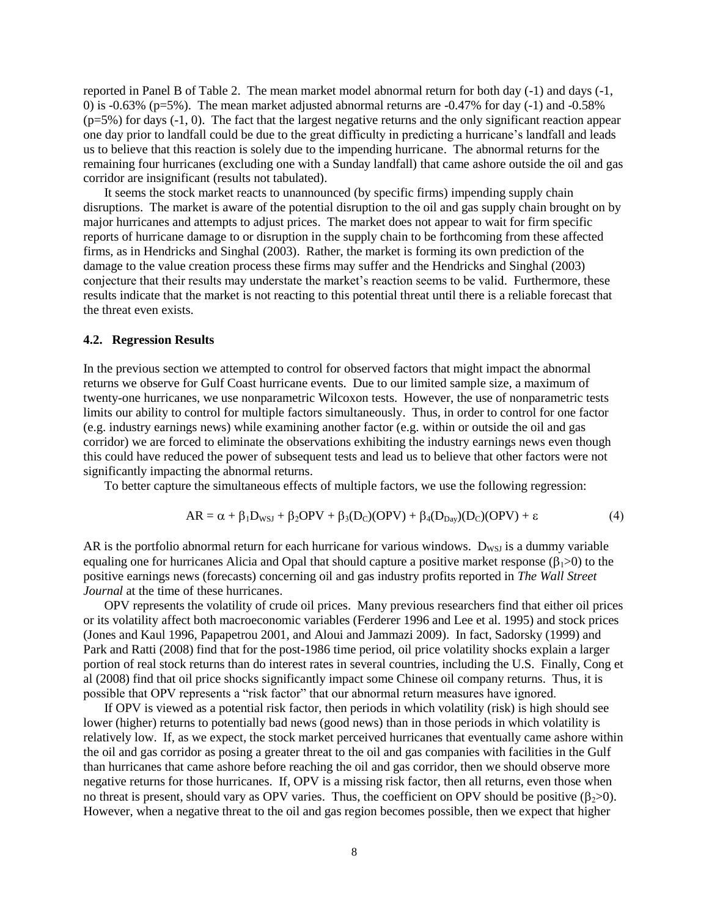reported in Panel B of Table 2. The mean market model abnormal return for both day (-1) and days (-1, 0) is  $-0.63\%$  (p=5%). The mean market adjusted abnormal returns are  $-0.47\%$  for day  $(-1)$  and  $-0.58\%$  $(p=5\%)$  for days  $(-1, 0)$ . The fact that the largest negative returns and the only significant reaction appear one day prior to landfall could be due to the great difficulty in predicting a hurricane"s landfall and leads us to believe that this reaction is solely due to the impending hurricane. The abnormal returns for the remaining four hurricanes (excluding one with a Sunday landfall) that came ashore outside the oil and gas corridor are insignificant (results not tabulated).

It seems the stock market reacts to unannounced (by specific firms) impending supply chain disruptions. The market is aware of the potential disruption to the oil and gas supply chain brought on by major hurricanes and attempts to adjust prices. The market does not appear to wait for firm specific reports of hurricane damage to or disruption in the supply chain to be forthcoming from these affected firms, as in Hendricks and Singhal (2003). Rather, the market is forming its own prediction of the damage to the value creation process these firms may suffer and the Hendricks and Singhal (2003) conjecture that their results may understate the market"s reaction seems to be valid. Furthermore, these results indicate that the market is not reacting to this potential threat until there is a reliable forecast that the threat even exists.

### **4.2. Regression Results**

In the previous section we attempted to control for observed factors that might impact the abnormal returns we observe for Gulf Coast hurricane events. Due to our limited sample size, a maximum of twenty-one hurricanes, we use nonparametric Wilcoxon tests. However, the use of nonparametric tests limits our ability to control for multiple factors simultaneously. Thus, in order to control for one factor (e.g. industry earnings news) while examining another factor (e.g. within or outside the oil and gas corridor) we are forced to eliminate the observations exhibiting the industry earnings news even though this could have reduced the power of subsequent tests and lead us to believe that other factors were not significantly impacting the abnormal returns.

To better capture the simultaneous effects of multiple factors, we use the following regression:

$$
AR = \alpha + \beta_1 D_{WSJ} + \beta_2 OPV + \beta_3 (D_C)(OPV) + \beta_4 (D_{Day})(D_C)(OPV) + \epsilon
$$
\n(4)

AR is the portfolio abnormal return for each hurricane for various windows.  $D_{WSI}$  is a dummy variable equaling one for hurricanes Alicia and Opal that should capture a positive market response ( $\beta$ ) to the positive earnings news (forecasts) concerning oil and gas industry profits reported in *The Wall Street Journal* at the time of these hurricanes.

OPV represents the volatility of crude oil prices. Many previous researchers find that either oil prices or its volatility affect both macroeconomic variables (Ferderer 1996 and Lee et al. 1995) and stock prices (Jones and Kaul 1996, Papapetrou 2001, and Aloui and Jammazi 2009). In fact, Sadorsky (1999) and Park and Ratti (2008) find that for the post-1986 time period, oil price volatility shocks explain a larger portion of real stock returns than do interest rates in several countries, including the U.S. Finally, Cong et al (2008) find that oil price shocks significantly impact some Chinese oil company returns. Thus, it is possible that OPV represents a "risk factor" that our abnormal return measures have ignored.

If OPV is viewed as a potential risk factor, then periods in which volatility (risk) is high should see lower (higher) returns to potentially bad news (good news) than in those periods in which volatility is relatively low. If, as we expect, the stock market perceived hurricanes that eventually came ashore within the oil and gas corridor as posing a greater threat to the oil and gas companies with facilities in the Gulf than hurricanes that came ashore before reaching the oil and gas corridor, then we should observe more negative returns for those hurricanes. If, OPV is a missing risk factor, then all returns, even those when no threat is present, should vary as OPV varies. Thus, the coefficient on OPV should be positive  $(\beta_{2}>0)$ . However, when a negative threat to the oil and gas region becomes possible, then we expect that higher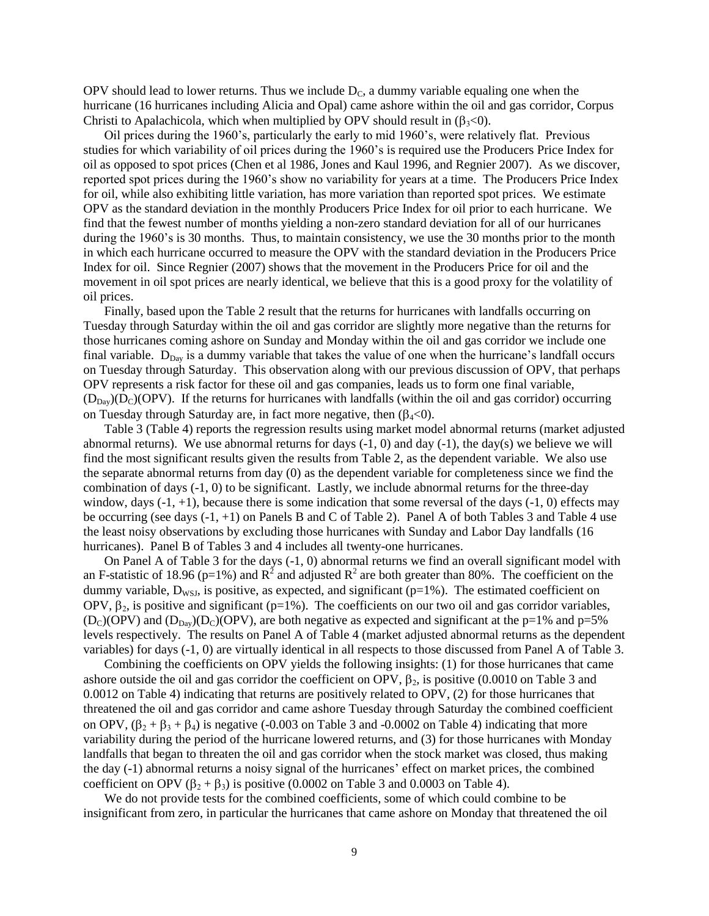OPV should lead to lower returns. Thus we include  $D<sub>C</sub>$ , a dummy variable equaling one when the hurricane (16 hurricanes including Alicia and Opal) came ashore within the oil and gas corridor, Corpus Christi to Apalachicola, which when multiplied by OPV should result in  $(\beta_{3} < 0)$ .

Oil prices during the 1960"s, particularly the early to mid 1960"s, were relatively flat. Previous studies for which variability of oil prices during the 1960"s is required use the Producers Price Index for oil as opposed to spot prices (Chen et al 1986, Jones and Kaul 1996, and Regnier 2007). As we discover, reported spot prices during the 1960"s show no variability for years at a time. The Producers Price Index for oil, while also exhibiting little variation, has more variation than reported spot prices. We estimate OPV as the standard deviation in the monthly Producers Price Index for oil prior to each hurricane. We find that the fewest number of months yielding a non-zero standard deviation for all of our hurricanes during the 1960's is 30 months. Thus, to maintain consistency, we use the 30 months prior to the month in which each hurricane occurred to measure the OPV with the standard deviation in the Producers Price Index for oil. Since Regnier (2007) shows that the movement in the Producers Price for oil and the movement in oil spot prices are nearly identical, we believe that this is a good proxy for the volatility of oil prices.

Finally, based upon the Table 2 result that the returns for hurricanes with landfalls occurring on Tuesday through Saturday within the oil and gas corridor are slightly more negative than the returns for those hurricanes coming ashore on Sunday and Monday within the oil and gas corridor we include one final variable.  $D_{Day}$  is a dummy variable that takes the value of one when the hurricane's landfall occurs on Tuesday through Saturday. This observation along with our previous discussion of OPV, that perhaps OPV represents a risk factor for these oil and gas companies, leads us to form one final variable,  $(D_{Day})(D_C)(OPV)$ . If the returns for hurricanes with landfalls (within the oil and gas corridor) occurring on Tuesday through Saturday are, in fact more negative, then  $(\beta_4<0)$ .

Table 3 (Table 4) reports the regression results using market model abnormal returns (market adjusted abnormal returns). We use abnormal returns for days  $(-1, 0)$  and day  $(-1)$ , the day(s) we believe we will find the most significant results given the results from Table 2, as the dependent variable. We also use the separate abnormal returns from day (0) as the dependent variable for completeness since we find the combination of days (-1, 0) to be significant. Lastly, we include abnormal returns for the three-day window, days  $(-1, +1)$ , because there is some indication that some reversal of the days  $(-1, 0)$  effects may be occurring (see days (-1, +1) on Panels B and C of Table 2). Panel A of both Tables 3 and Table 4 use the least noisy observations by excluding those hurricanes with Sunday and Labor Day landfalls (16 hurricanes). Panel B of Tables 3 and 4 includes all twenty-one hurricanes.

On Panel A of Table 3 for the days (-1, 0) abnormal returns we find an overall significant model with an F-statistic of 18.96 (p=1%) and  $R^2$  and adjusted  $R^2$  are both greater than 80%. The coefficient on the dummy variable,  $D_{WSJ}$ , is positive, as expected, and significant (p=1%). The estimated coefficient on OPV,  $\beta_2$ , is positive and significant (p=1%). The coefficients on our two oil and gas corridor variables,  $(D<sub>C</sub>)(OPV)$  and  $(D<sub>Day</sub>)(D<sub>C</sub>)(OPV)$ , are both negative as expected and significant at the p=1% and p=5% levels respectively. The results on Panel A of Table 4 (market adjusted abnormal returns as the dependent variables) for days (-1, 0) are virtually identical in all respects to those discussed from Panel A of Table 3.

Combining the coefficients on OPV yields the following insights: (1) for those hurricanes that came ashore outside the oil and gas corridor the coefficient on OPV,  $\beta_2$ , is positive (0.0010 on Table 3 and 0.0012 on Table 4) indicating that returns are positively related to OPV, (2) for those hurricanes that threatened the oil and gas corridor and came ashore Tuesday through Saturday the combined coefficient on OPV,  $(\beta_2 + \beta_3 + \beta_4)$  is negative (-0.003 on Table 3 and -0.0002 on Table 4) indicating that more variability during the period of the hurricane lowered returns, and (3) for those hurricanes with Monday landfalls that began to threaten the oil and gas corridor when the stock market was closed, thus making the day (-1) abnormal returns a noisy signal of the hurricanes' effect on market prices, the combined coefficient on OPV ( $\beta_2 + \beta_3$ ) is positive (0.0002 on Table 3 and 0.0003 on Table 4).

We do not provide tests for the combined coefficients, some of which could combine to be insignificant from zero, in particular the hurricanes that came ashore on Monday that threatened the oil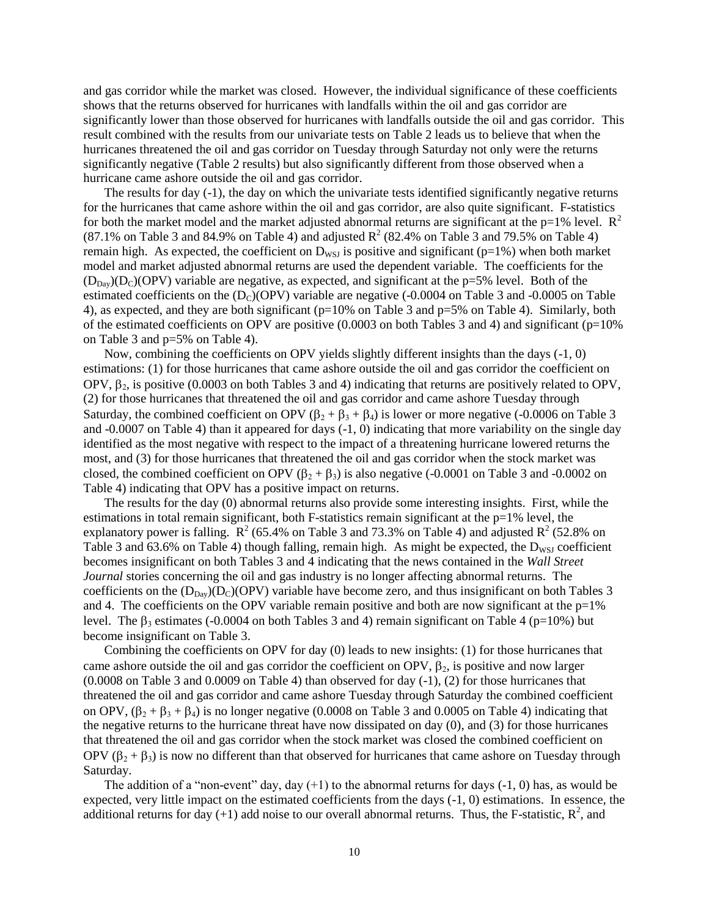and gas corridor while the market was closed. However, the individual significance of these coefficients shows that the returns observed for hurricanes with landfalls within the oil and gas corridor are significantly lower than those observed for hurricanes with landfalls outside the oil and gas corridor. This result combined with the results from our univariate tests on Table 2 leads us to believe that when the hurricanes threatened the oil and gas corridor on Tuesday through Saturday not only were the returns significantly negative (Table 2 results) but also significantly different from those observed when a hurricane came ashore outside the oil and gas corridor.

The results for day (-1), the day on which the univariate tests identified significantly negative returns for the hurricanes that came ashore within the oil and gas corridor, are also quite significant. F-statistics for both the market model and the market adjusted abnormal returns are significant at the  $p=1%$  level.  $R<sup>2</sup>$  $(87.1\%$  on Table 3 and 84.9% on Table 4) and adjusted  $R^2$  (82.4% on Table 3 and 79.5% on Table 4) remain high. As expected, the coefficient on  $D_{WSJ}$  is positive and significant (p=1%) when both market model and market adjusted abnormal returns are used the dependent variable. The coefficients for the  $(D_{\text{Day}})(D_C)(\text{OPV})$  variable are negative, as expected, and significant at the p=5% level. Both of the estimated coefficients on the  $(D<sub>C</sub>)(OPV)$  variable are negative (-0.0004 on Table 3 and -0.0005 on Table 4), as expected, and they are both significant ( $p=10\%$  on Table 3 and  $p=5\%$  on Table 4). Similarly, both of the estimated coefficients on OPV are positive  $(0.0003$  on both Tables 3 and 4) and significant (p=10% on Table 3 and p=5% on Table 4).

Now, combining the coefficients on OPV yields slightly different insights than the days (-1, 0) estimations: (1) for those hurricanes that came ashore outside the oil and gas corridor the coefficient on OPV,  $\beta_2$ , is positive (0.0003 on both Tables 3 and 4) indicating that returns are positively related to OPV, (2) for those hurricanes that threatened the oil and gas corridor and came ashore Tuesday through Saturday, the combined coefficient on OPV  $(\beta_2 + \beta_3 + \beta_4)$  is lower or more negative (-0.0006 on Table 3 and -0.0007 on Table 4) than it appeared for days (-1, 0) indicating that more variability on the single day identified as the most negative with respect to the impact of a threatening hurricane lowered returns the most, and (3) for those hurricanes that threatened the oil and gas corridor when the stock market was closed, the combined coefficient on OPV  $(\beta_2 + \beta_3)$  is also negative (-0.0001 on Table 3 and -0.0002 on Table 4) indicating that OPV has a positive impact on returns.

The results for the day (0) abnormal returns also provide some interesting insights. First, while the estimations in total remain significant, both F-statistics remain significant at the  $p=1%$  level, the explanatory power is falling.  $\mathbb{R}^2$  (65.4% on Table 3 and 73.3% on Table 4) and adjusted  $\mathbb{R}^2$  (52.8% on Table 3 and 63.6% on Table 4) though falling, remain high. As might be expected, the  $D_{WSI}$  coefficient becomes insignificant on both Tables 3 and 4 indicating that the news contained in the *Wall Street Journal* stories concerning the oil and gas industry is no longer affecting abnormal returns. The coefficients on the  $(D_{Day})(D_C)(OPV)$  variable have become zero, and thus insignificant on both Tables 3 and 4. The coefficients on the OPV variable remain positive and both are now significant at the  $p=1%$ level. The  $\beta_3$  estimates (-0.0004 on both Tables 3 and 4) remain significant on Table 4 (p=10%) but become insignificant on Table 3.

Combining the coefficients on OPV for day (0) leads to new insights: (1) for those hurricanes that came ashore outside the oil and gas corridor the coefficient on OPV,  $\beta_2$ , is positive and now larger (0.0008 on Table 3 and 0.0009 on Table 4) than observed for day (-1), (2) for those hurricanes that threatened the oil and gas corridor and came ashore Tuesday through Saturday the combined coefficient on OPV,  $(\beta_2 + \beta_3 + \beta_4)$  is no longer negative (0.0008 on Table 3 and 0.0005 on Table 4) indicating that the negative returns to the hurricane threat have now dissipated on day (0), and (3) for those hurricanes that threatened the oil and gas corridor when the stock market was closed the combined coefficient on OPV  $(\beta_2 + \beta_3)$  is now no different than that observed for hurricanes that came ashore on Tuesday through Saturday.

The addition of a "non-event" day, day  $(+1)$  to the abnormal returns for days  $(-1, 0)$  has, as would be expected, very little impact on the estimated coefficients from the days (-1, 0) estimations. In essence, the additional returns for day (+1) add noise to our overall abnormal returns. Thus, the F-statistic,  $R^2$ , and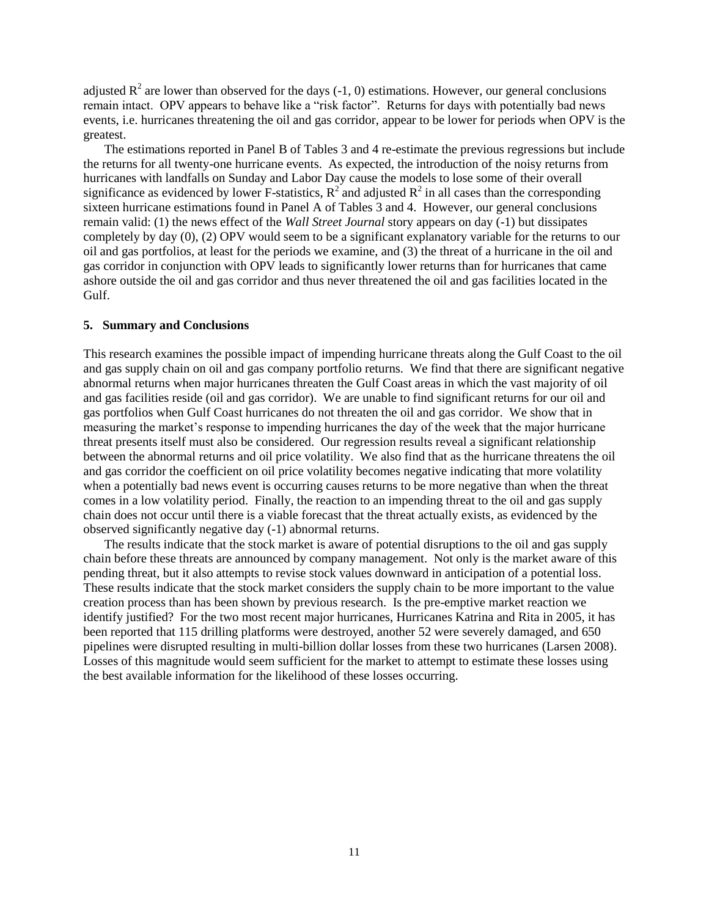adjusted  $R^2$  are lower than observed for the days (-1, 0) estimations. However, our general conclusions remain intact. OPV appears to behave like a "risk factor". Returns for days with potentially bad news events, i.e. hurricanes threatening the oil and gas corridor, appear to be lower for periods when OPV is the greatest.

The estimations reported in Panel B of Tables 3 and 4 re-estimate the previous regressions but include the returns for all twenty-one hurricane events. As expected, the introduction of the noisy returns from hurricanes with landfalls on Sunday and Labor Day cause the models to lose some of their overall significance as evidenced by lower F-statistics,  $R^2$  and adjusted  $R^2$  in all cases than the corresponding sixteen hurricane estimations found in Panel A of Tables 3 and 4. However, our general conclusions remain valid: (1) the news effect of the *Wall Street Journal* story appears on day (-1) but dissipates completely by day (0), (2) OPV would seem to be a significant explanatory variable for the returns to our oil and gas portfolios, at least for the periods we examine, and (3) the threat of a hurricane in the oil and gas corridor in conjunction with OPV leads to significantly lower returns than for hurricanes that came ashore outside the oil and gas corridor and thus never threatened the oil and gas facilities located in the Gulf.

## **5. Summary and Conclusions**

This research examines the possible impact of impending hurricane threats along the Gulf Coast to the oil and gas supply chain on oil and gas company portfolio returns. We find that there are significant negative abnormal returns when major hurricanes threaten the Gulf Coast areas in which the vast majority of oil and gas facilities reside (oil and gas corridor). We are unable to find significant returns for our oil and gas portfolios when Gulf Coast hurricanes do not threaten the oil and gas corridor. We show that in measuring the market's response to impending hurricanes the day of the week that the major hurricane threat presents itself must also be considered. Our regression results reveal a significant relationship between the abnormal returns and oil price volatility. We also find that as the hurricane threatens the oil and gas corridor the coefficient on oil price volatility becomes negative indicating that more volatility when a potentially bad news event is occurring causes returns to be more negative than when the threat comes in a low volatility period. Finally, the reaction to an impending threat to the oil and gas supply chain does not occur until there is a viable forecast that the threat actually exists, as evidenced by the observed significantly negative day (-1) abnormal returns.

The results indicate that the stock market is aware of potential disruptions to the oil and gas supply chain before these threats are announced by company management. Not only is the market aware of this pending threat, but it also attempts to revise stock values downward in anticipation of a potential loss. These results indicate that the stock market considers the supply chain to be more important to the value creation process than has been shown by previous research. Is the pre-emptive market reaction we identify justified? For the two most recent major hurricanes, Hurricanes Katrina and Rita in 2005, it has been reported that 115 drilling platforms were destroyed, another 52 were severely damaged, and 650 pipelines were disrupted resulting in multi-billion dollar losses from these two hurricanes (Larsen 2008). Losses of this magnitude would seem sufficient for the market to attempt to estimate these losses using the best available information for the likelihood of these losses occurring.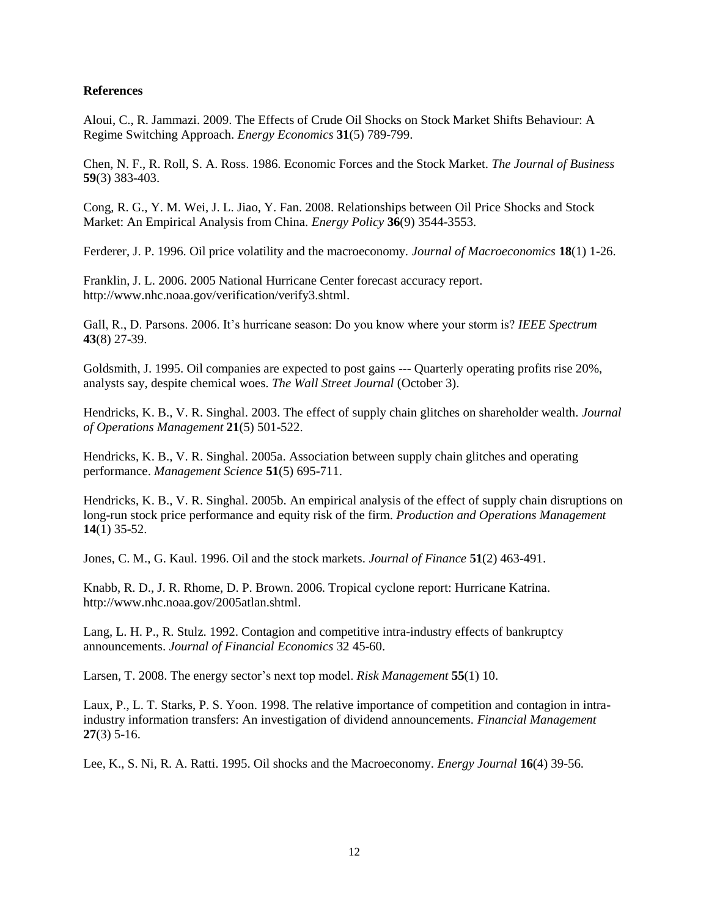## **References**

Aloui, C., R. Jammazi. 2009. The Effects of Crude Oil Shocks on Stock Market Shifts Behaviour: A Regime Switching Approach. *Energy Economics* **31**(5) 789-799.

Chen, N. F., R. Roll, S. A. Ross. 1986. Economic Forces and the Stock Market. *The Journal of Business* **59**(3) 383-403.

Cong, R. G., Y. M. Wei, J. L. Jiao, Y. Fan. 2008. Relationships between Oil Price Shocks and Stock Market: An Empirical Analysis from China. *Energy Policy* **36**(9) 3544-3553.

Ferderer, J. P. 1996. Oil price volatility and the macroeconomy. *Journal of Macroeconomics* **18**(1) 1-26.

Franklin, J. L. 2006. 2005 National Hurricane Center forecast accuracy report. http://www.nhc.noaa.gov/verification/verify3.shtml.

Gall, R., D. Parsons. 2006. It's hurricane season: Do you know where your storm is? *IEEE Spectrum* **43**(8) 27-39.

Goldsmith, J. 1995. Oil companies are expected to post gains --- Quarterly operating profits rise 20%, analysts say, despite chemical woes. *The Wall Street Journal* (October 3).

Hendricks, K. B., V. R. Singhal. 2003. The effect of supply chain glitches on shareholder wealth. *Journal of Operations Management* **21**(5) 501-522.

Hendricks, K. B., V. R. Singhal. 2005a. Association between supply chain glitches and operating performance. *Management Science* **51**(5) 695-711.

Hendricks, K. B., V. R. Singhal. 2005b. An empirical analysis of the effect of supply chain disruptions on long-run stock price performance and equity risk of the firm. *Production and Operations Management* **14**(1) 35-52.

Jones, C. M., G. Kaul. 1996. Oil and the stock markets. *Journal of Finance* **51**(2) 463-491.

Knabb, R. D., J. R. Rhome, D. P. Brown. 2006. Tropical cyclone report: Hurricane Katrina. http://www.nhc.noaa.gov/2005atlan.shtml.

Lang, L. H. P., R. Stulz. 1992. Contagion and competitive intra-industry effects of bankruptcy announcements. *Journal of Financial Economics* 32 45-60.

Larsen, T. 2008. The energy sector"s next top model. *Risk Management* **55**(1) 10.

Laux, P., L. T. Starks, P. S. Yoon. 1998. The relative importance of competition and contagion in intraindustry information transfers: An investigation of dividend announcements. *Financial Management* **27**(3) 5-16.

Lee, K., S. Ni, R. A. Ratti. 1995. Oil shocks and the Macroeconomy. *Energy Journal* **16**(4) 39-56.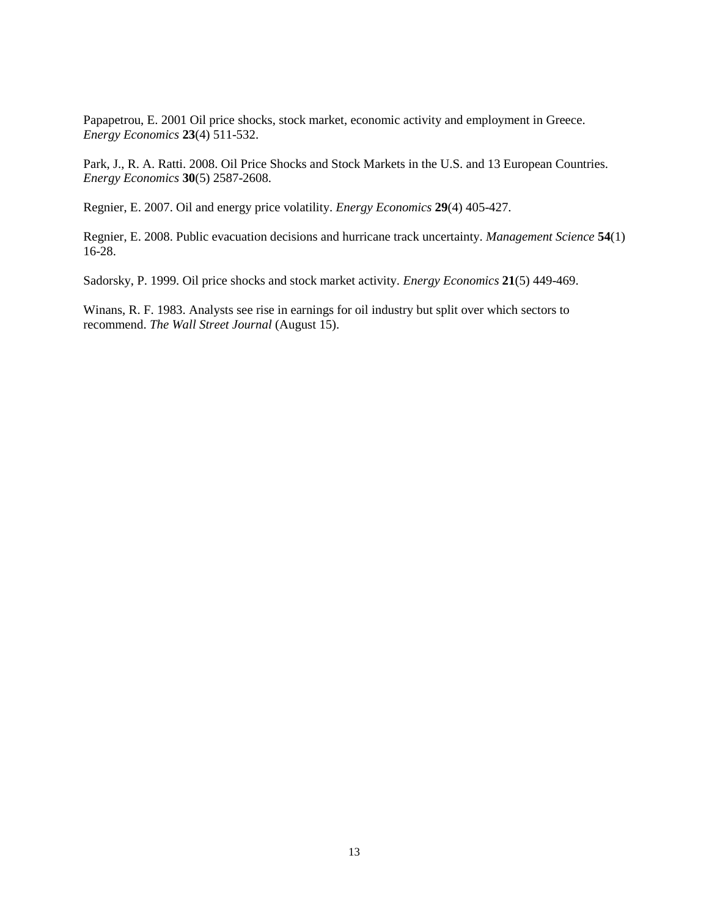Papapetrou, E. 2001 Oil price shocks, stock market, economic activity and employment in Greece. *Energy Economics* **23**(4) 511-532.

Park, J., R. A. Ratti. 2008. Oil Price Shocks and Stock Markets in the U.S. and 13 European Countries. *Energy Economics* **30**(5) 2587-2608.

Regnier, E. 2007. Oil and energy price volatility. *Energy Economics* **29**(4) 405-427.

Regnier, E. 2008. Public evacuation decisions and hurricane track uncertainty. *Management Science* **54**(1) 16-28.

Sadorsky, P. 1999. Oil price shocks and stock market activity. *Energy Economics* **21**(5) 449-469.

Winans, R. F. 1983. Analysts see rise in earnings for oil industry but split over which sectors to recommend. *The Wall Street Journal* (August 15).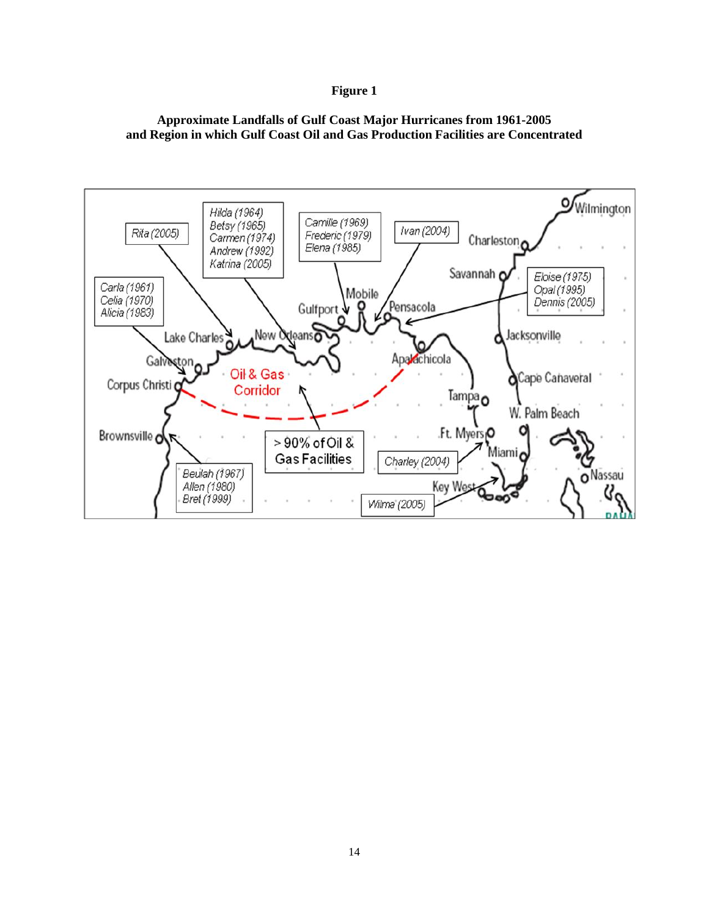## **Figure 1**

## **Approximate Landfalls of Gulf Coast Major Hurricanes from 1961-2005 and Region in which Gulf Coast Oil and Gas Production Facilities are Concentrated**

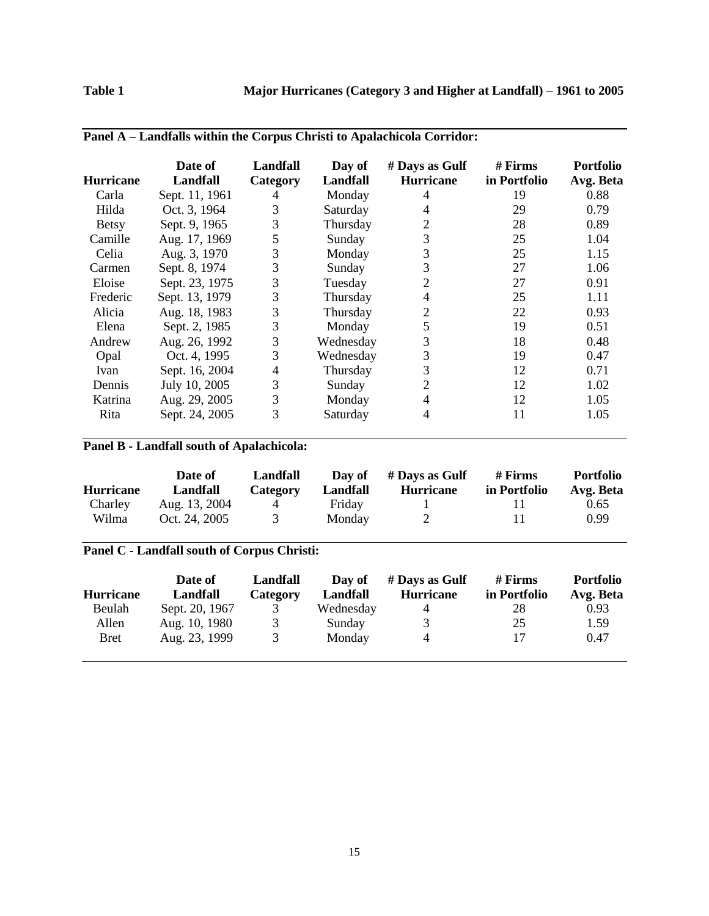| <b>Hurricane</b> | Date of<br><b>Landfall</b> | Landfall<br>Category | Day of<br>Landfall | # Days as Gulf<br><b>Hurricane</b> | $#$ Firms<br>in Portfolio | <b>Portfolio</b><br>Avg. Beta |
|------------------|----------------------------|----------------------|--------------------|------------------------------------|---------------------------|-------------------------------|
| Carla            | Sept. 11, 1961             | 4                    | Monday             | 4                                  | 19                        | 0.88                          |
| Hilda            | Oct. 3, 1964               | 3                    | Saturday           | 4                                  | 29                        | 0.79                          |
| <b>Betsy</b>     | Sept. 9, 1965              | 3                    | Thursday           | 2                                  | 28                        | 0.89                          |
| Camille          | Aug. 17, 1969              | 5                    | Sunday             | 3                                  | 25                        | 1.04                          |
| Celia            | Aug. 3, 1970               | 3                    | Monday             | 3                                  | 25                        | 1.15                          |
| Carmen           | Sept. 8, 1974              | 3                    | Sunday             | 3                                  | 27                        | 1.06                          |
| Eloise           | Sept. 23, 1975             | 3                    | Tuesday            | 2                                  | 27                        | 0.91                          |
| Frederic         | Sept. 13, 1979             | 3                    | Thursday           | 4                                  | 25                        | 1.11                          |
| Alicia           | Aug. 18, 1983              | 3                    | Thursday           | 2                                  | 22                        | 0.93                          |
| Elena            | Sept. 2, 1985              | 3                    | Monday             | 5                                  | 19                        | 0.51                          |
| Andrew           | Aug. 26, 1992              | 3                    | Wednesday          | 3                                  | 18                        | 0.48                          |
| Opal             | Oct. 4, 1995               | 3                    | Wednesday          | 3                                  | 19                        | 0.47                          |
| Ivan             | Sept. 16, 2004             | 4                    | Thursday           | 3                                  | 12                        | 0.71                          |
| Dennis           | July 10, 2005              | 3                    | Sunday             | 2                                  | 12                        | 1.02                          |
| Katrina          | Aug. 29, 2005              | 3                    | Monday             | 4                                  | 12                        | 1.05                          |
| Rita             | Sept. 24, 2005             | 3                    | Saturday           | 4                                  | 11                        | 1.05                          |

# **Panel A – Landfalls within the Corpus Christi to Apalachicola Corridor:**

# **Panel B - Landfall south of Apalachicola:**

| <b>Hurricane</b> | Date of<br>Landfall | Landfall<br>Category | Day of<br>Landfall | # Days as Gulf<br><b>Hurricane</b> | # Firms<br>in Portfolio | <b>Portfolio</b><br>Avg. Beta |
|------------------|---------------------|----------------------|--------------------|------------------------------------|-------------------------|-------------------------------|
| Charley          | Aug. 13, 2004       | 4                    | Friday             |                                    |                         | 0.65                          |
| Wilma            | Oct. 24, 2005       | 3                    | Monday             | $\mathcal{D}$                      | 11                      | 0.99                          |

# **Panel C - Landfall south of Corpus Christi:**

| <b>Hurricane</b> | Date of<br>Landfall | Landfall<br>Category | Day of<br>Landfall | # Days as Gulf<br><b>Hurricane</b> | # Firms<br>in Portfolio | <b>Portfolio</b><br>Avg. Beta |
|------------------|---------------------|----------------------|--------------------|------------------------------------|-------------------------|-------------------------------|
| Beulah           | Sept. 20, 1967      | 3                    | Wednesday          | 4                                  | 28                      | 0.93                          |
| Allen            | Aug. 10, 1980       | 3                    | Sunday             | $\mathcal{R}$                      | 25                      | 1.59                          |
| Bret             | Aug. 23, 1999       | 3                    | Monday             | 4                                  | 17                      | 0.47                          |
|                  |                     |                      |                    |                                    |                         |                               |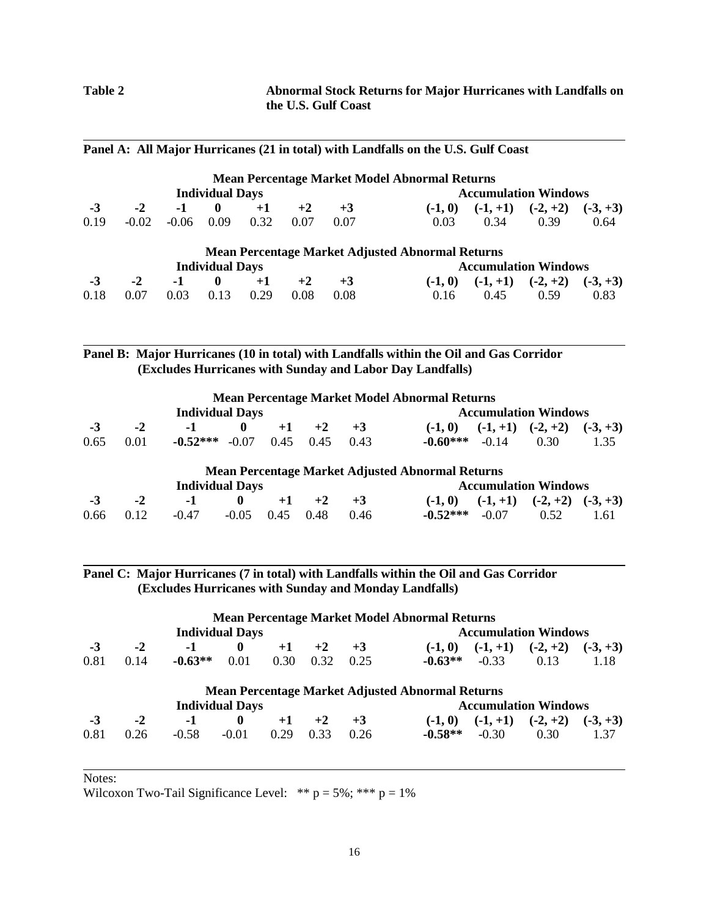|      |         |         |                        |      |      |      | Panel A: All Major Hurricanes (21 in total) with Landfalls on the U.S. Gulf Coast |            |                             |            |
|------|---------|---------|------------------------|------|------|------|-----------------------------------------------------------------------------------|------------|-----------------------------|------------|
|      |         |         |                        |      |      |      | <b>Mean Percentage Market Model Abnormal Returns</b>                              |            |                             |            |
|      |         |         | <b>Individual Days</b> |      |      |      |                                                                                   |            | <b>Accumulation Windows</b> |            |
| $-3$ | $-2$    | $-1$    | $\mathbf{0}$           | $+1$ | $+2$ | $+3$ | $(-1, 0)$                                                                         | $(-1, +1)$ | $(-2, +2)$                  | $(-3, +3)$ |
| 0.19 | $-0.02$ | $-0.06$ | 0.09                   | 0.32 | 0.07 | 0.07 | 0.03                                                                              | 0.34       | 0.39                        | 0.64       |
|      |         |         |                        |      |      |      | <b>Mean Percentage Market Adjusted Abnormal Returns</b>                           |            |                             |            |
|      |         |         | <b>Individual Days</b> |      |      |      |                                                                                   |            | <b>Accumulation Windows</b> |            |
| $-3$ | $-2$    | $-1$    | $\mathbf{0}$           | $+1$ | $+2$ | $+3$ | $(-1, 0)$                                                                         | $(-1, +1)$ | $(-2, +2)$                  | $(-3, +3)$ |
| 0.18 | 0.07    | 0.03    | 0.13                   | 0.29 | 0.08 | 0.08 | 0.16                                                                              | 0.45       | 0.59                        | 0.83       |

# **Panel B: Major Hurricanes (10 in total) with Landfalls within the Oil and Gas Corridor (Excludes Hurricanes with Sunday and Labor Day Landfalls)**

|      |      | <b>Individual Days</b> |              |      |      |      | <b>Mean Percentage Market Model Abnormal Returns</b>    |            | <b>Accumulation Windows</b> |            |
|------|------|------------------------|--------------|------|------|------|---------------------------------------------------------|------------|-----------------------------|------------|
| $-3$ | $-2$ | -1                     |              | $+1$ | $+2$ | $+3$ | $(-1, 0)$                                               | $(-1, +1)$ | $(-2, +2)$                  | $(-3, +3)$ |
| 0.65 | 0.01 | $-0.52***$             | $-0.07$      | 0.45 | 0.45 | 0.43 | $-0.60***$                                              | $-0.14$    | 0.30                        | 1.35       |
|      |      |                        |              |      |      |      | <b>Mean Percentage Market Adjusted Abnormal Returns</b> |            |                             |            |
|      |      | <b>Individual Days</b> |              |      |      |      |                                                         |            | <b>Accumulation Windows</b> |            |
| -3   | $-2$ | $-1$                   | $\mathbf{0}$ | $+1$ | $+2$ | $+3$ | $(-1, 0)$                                               | $(-1, +1)$ | $(-2, +2)$                  | $(-3, +3)$ |
| 0.66 | 0.12 | $-0.47$                | $-0.05$      | 0.45 | 0.48 | 0.46 | $-0.52***$                                              | $-0.07$    | 0.52                        | 1.61       |

**Panel C: Major Hurricanes (7 in total) with Landfalls within the Oil and Gas Corridor (Excludes Hurricanes with Sunday and Monday Landfalls)**

|      |      |                        | <b>Individual Days</b> |      |      |      | <b>Mean Percentage Market Model Abnormal Returns</b>    |            | <b>Accumulation Windows</b> |            |
|------|------|------------------------|------------------------|------|------|------|---------------------------------------------------------|------------|-----------------------------|------------|
| $-3$ | $-2$ | $-1$                   | $\mathbf{0}$           | $+1$ | $+2$ | $+3$ | $(-1, 0)$                                               | $(-1, +1)$ | $(-2, +2)$                  | $(-3, +3)$ |
| 0.81 | 0.14 | $-0.63**$              | 0.01                   | 0.30 | 0.32 | 0.25 | $-0.63**$                                               | $-0.33$    | 0.13                        | 1.18       |
|      |      |                        |                        |      |      |      | <b>Mean Percentage Market Adjusted Abnormal Returns</b> |            |                             |            |
|      |      | <b>Individual Days</b> |                        |      |      |      |                                                         |            | <b>Accumulation Windows</b> |            |
| $-3$ | $-2$ | $-1$                   | $\mathbf{0}$           | $+1$ | $+2$ | $+3$ | $(-1, 0)$                                               | $(-1, +1)$ | $(-2, +2)$                  | $(-3, +3)$ |
| 0.81 | 0.26 | $-0.58$                | $-0.01$                | 0.29 | 0.33 | 0.26 | $-0.58**$                                               | $-0.30$    | 0.30                        | 1.37       |

Notes:

Wilcoxon Two-Tail Significance Level: \*\*  $p = 5\%$ ; \*\*\*  $p = 1\%$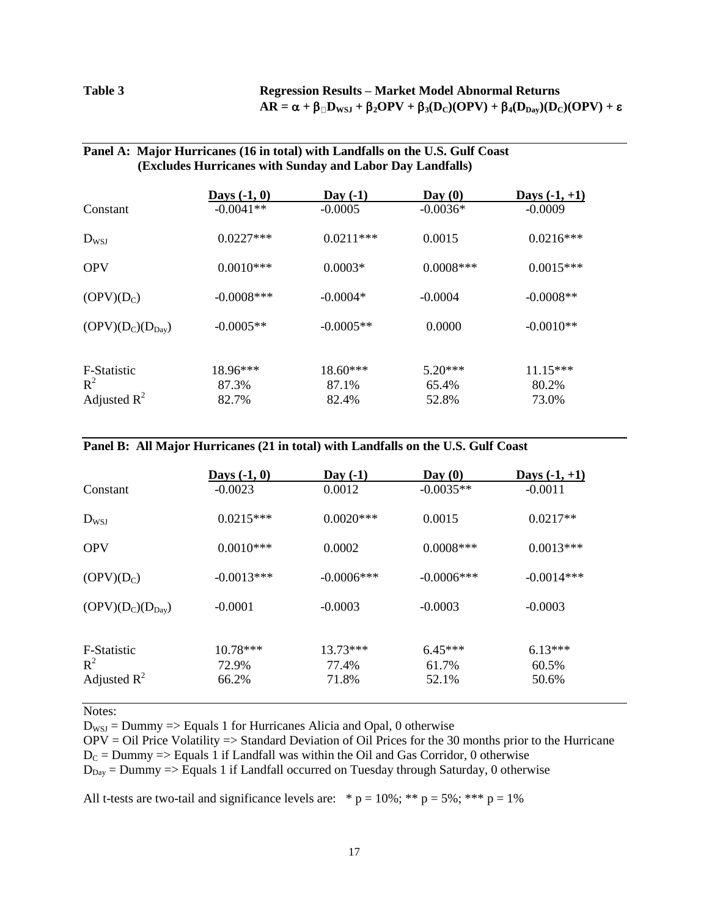## **Table 3 Regression Results – Market Model Abnormal Returns**  $AR = \alpha + \beta \Box D_{WSJ} + \beta_2 OPV + \beta_3 (D_C)(OPV) + \beta_4 (D_{Day})(D_C)(OPV) + \epsilon$

## **Panel A: Major Hurricanes (16 in total) with Landfalls on the U.S. Gulf Coast (Excludes Hurricanes with Sunday and Labor Day Landfalls)**

|                                  | Days $(-1, 0)$ | Day $(-1)$     | $\bf{D}$ av $(0)$ | Days $(-1, +1)$ |
|----------------------------------|----------------|----------------|-------------------|-----------------|
| Constant                         | $-0.0041**$    | $-0.0005$      | $-0.0036*$        | $-0.0009$       |
| $D_{WSJ}$                        | $0.0227***$    | $0.0211***$    | 0.0015            | $0.0216***$     |
| <b>OPV</b>                       | $0.0010***$    | $0.0003*$      | $0.0008$ ***      | $0.0015***$     |
| $(OPV)(D_C)$                     | $-0.0008$ ***  | $-0.0004*$     | $-0.0004$         | $-0.0008**$     |
| $(OPV)(D_C)(D_{Day})$            | $-0.0005**$    | $-0.0005**$    | 0.0000            | $-0.0010**$     |
| F-Statistic                      | $18.96***$     | $18.60***$     | $5.20***$         | $11.15***$      |
| $R^2$<br>Adjusted $\mathbb{R}^2$ | 87.3%<br>82.7% | 87.1%<br>82.4% | 65.4%<br>52.8%    | 80.2%<br>73.0%  |
|                                  |                |                |                   |                 |

## **Panel B: All Major Hurricanes (21 in total) with Landfalls on the U.S. Gulf Coast**

|                       | Days $(-1, 0)$ | Day $(-1)$    | $\bf{D}$ av $(0)$ | Days $(-1, +1)$ |
|-----------------------|----------------|---------------|-------------------|-----------------|
| Constant              | $-0.0023$      | 0.0012        | $-0.0035**$       | $-0.0011$       |
| $D_{WSJ}$             | $0.0215***$    | $0.0020$ ***  | 0.0015            | $0.0217**$      |
| <b>OPV</b>            | $0.0010***$    | 0.0002        | $0.0008***$       | $0.0013***$     |
| $(OPV)(D_C)$          | $-0.0013***$   | $-0.0006$ *** | $-0.0006$ ***     | $-0.0014***$    |
| $(OPV)(D_C)(D_{Day})$ | $-0.0001$      | $-0.0003$     | $-0.0003$         | $-0.0003$       |
|                       |                |               |                   |                 |
| F-Statistic           | $10.78***$     | $13.73***$    | $6.45***$         | $6.13***$       |
| $R^2$                 | 72.9%          | 77.4%         | 61.7%             | 60.5%           |
| Adjusted $R^2$        | 66.2%          | 71.8%         | 52.1%             | 50.6%           |

Notes:

 $D_{WSI} = D_{UMmy} \implies Equals 1$  for Hurricanes Alicia and Opal, 0 otherwise

OPV = Oil Price Volatility => Standard Deviation of Oil Prices for the 30 months prior to the Hurricane  $D<sub>C</sub>$  = Dummy => Equals 1 if Landfall was within the Oil and Gas Corridor, 0 otherwise

 $D_{\text{Day}} =$  Dummy  $\Rightarrow$  Equals 1 if Landfall occurred on Tuesday through Saturday, 0 otherwise

All t-tests are two-tail and significance levels are:  $* p = 10\%$ ;  $* p = 5\%$ ;  $* * p = 1\%$